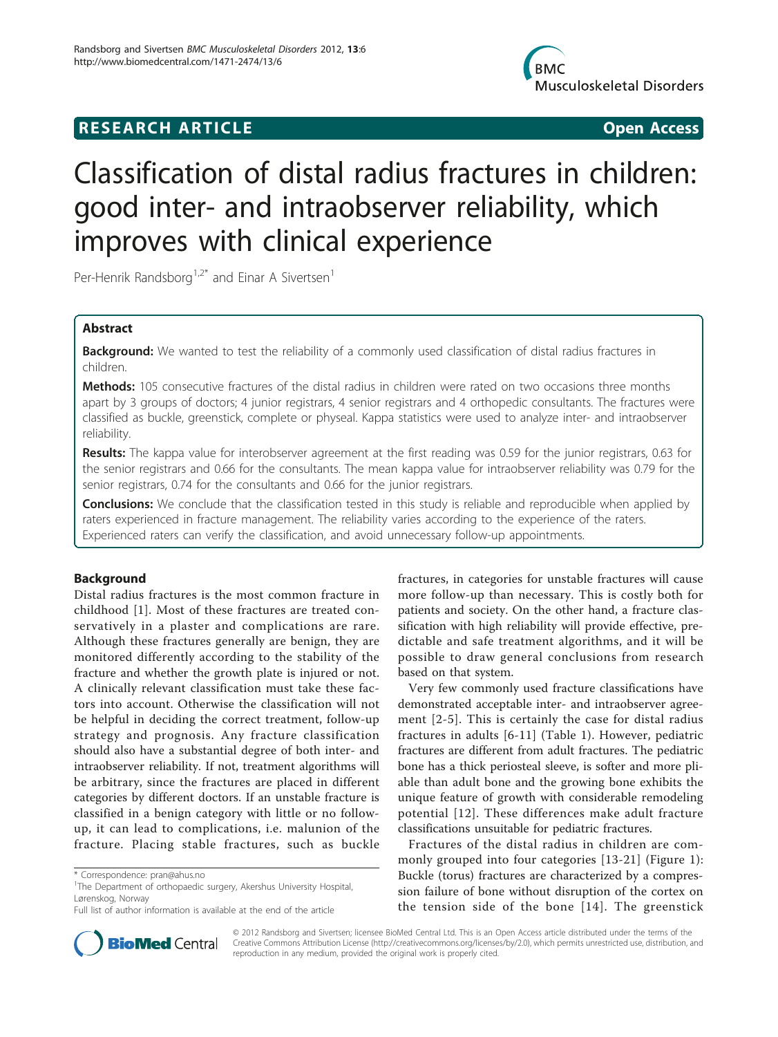# **RESEARCH ARTICLE Example 2018 Open Access**



# Classification of distal radius fractures in children: good inter- and intraobserver reliability, which improves with clinical experience

Per-Henrik Randsborg<sup>1,2\*</sup> and Einar A Sivertsen<sup>1</sup>

# Abstract

Background: We wanted to test the reliability of a commonly used classification of distal radius fractures in children.

Methods: 105 consecutive fractures of the distal radius in children were rated on two occasions three months apart by 3 groups of doctors; 4 junior registrars, 4 senior registrars and 4 orthopedic consultants. The fractures were classified as buckle, greenstick, complete or physeal. Kappa statistics were used to analyze inter- and intraobserver reliability.

Results: The kappa value for interobserver agreement at the first reading was 0.59 for the junior registrars, 0.63 for the senior registrars and 0.66 for the consultants. The mean kappa value for intraobserver reliability was 0.79 for the senior registrars, 0.74 for the consultants and 0.66 for the junior registrars.

**Conclusions:** We conclude that the classification tested in this study is reliable and reproducible when applied by raters experienced in fracture management. The reliability varies according to the experience of the raters. Experienced raters can verify the classification, and avoid unnecessary follow-up appointments.

# Background

Distal radius fractures is the most common fracture in childhood [[1\]](#page-6-0). Most of these fractures are treated conservatively in a plaster and complications are rare. Although these fractures generally are benign, they are monitored differently according to the stability of the fracture and whether the growth plate is injured or not. A clinically relevant classification must take these factors into account. Otherwise the classification will not be helpful in deciding the correct treatment, follow-up strategy and prognosis. Any fracture classification should also have a substantial degree of both inter- and intraobserver reliability. If not, treatment algorithms will be arbitrary, since the fractures are placed in different categories by different doctors. If an unstable fracture is classified in a benign category with little or no followup, it can lead to complications, i.e. malunion of the fracture. Placing stable fractures, such as buckle

fractures, in categories for unstable fractures will cause more follow-up than necessary. This is costly both for patients and society. On the other hand, a fracture classification with high reliability will provide effective, predictable and safe treatment algorithms, and it will be possible to draw general conclusions from research based on that system.

Very few commonly used fracture classifications have demonstrated acceptable inter- and intraobserver agreement [[2-5\]](#page-6-0). This is certainly the case for distal radius fractures in adults [[6-11\]](#page-6-0) (Table [1\)](#page-1-0). However, pediatric fractures are different from adult fractures. The pediatric bone has a thick periosteal sleeve, is softer and more pliable than adult bone and the growing bone exhibits the unique feature of growth with considerable remodeling potential [[12](#page-6-0)]. These differences make adult fracture classifications unsuitable for pediatric fractures.

Fractures of the distal radius in children are commonly grouped into four categories [[13-21\]](#page-6-0) (Figure [1](#page-2-0)): Buckle (torus) fractures are characterized by a compression failure of bone without disruption of the cortex on the tension side of the bone [[14](#page-6-0)]. The greenstick



© 2012 Randsborg and Sivertsen; licensee BioMed Central Ltd. This is an Open Access article distributed under the terms of the Creative Commons Attribution License (<http://creativecommons.org/licenses/by/2.0>), which permits unrestricted use, distribution, and reproduction in any medium, provided the original work is properly cited.

<sup>\*</sup> Correspondence: [pran@ahus.no](mailto:pran@ahus.no)

<sup>&</sup>lt;sup>1</sup>The Department of orthopaedic surgery, Akershus University Hospital, Lørenskog, Norway

Full list of author information is available at the end of the article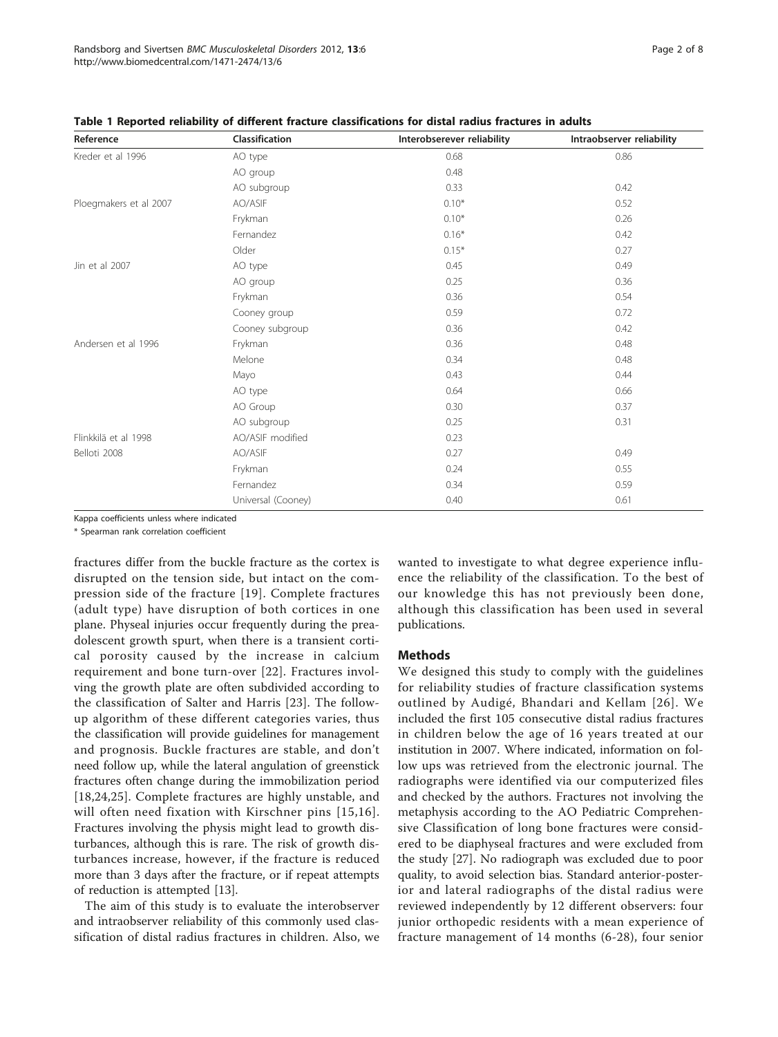| Reference              | Classification     | Interobserever reliability | Intraobserver reliability |
|------------------------|--------------------|----------------------------|---------------------------|
| Kreder et al 1996      | AO type            | 0.68                       | 0.86                      |
|                        | AO group           | 0.48                       |                           |
|                        | AO subgroup        | 0.33                       | 0.42                      |
| Ploegmakers et al 2007 | AO/ASIF            | $0.10*$                    | 0.52                      |
|                        | Frykman            | $0.10*$                    | 0.26                      |
|                        | Fernandez          | $0.16*$                    | 0.42                      |
|                        | Older              | $0.15*$                    | 0.27                      |
| Jin et al 2007         | AO type            | 0.45                       | 0.49                      |
|                        | AO group           | 0.25                       | 0.36                      |
|                        | Frykman            | 0.36                       | 0.54                      |
|                        | Cooney group       | 0.59                       | 0.72                      |
|                        | Cooney subgroup    | 0.36                       | 0.42                      |
| Andersen et al 1996    | Frykman            | 0.36                       | 0.48                      |
|                        | Melone             | 0.34                       | 0.48                      |
|                        | Mayo               | 0.43                       | 0.44                      |
|                        | AO type            | 0.64                       | 0.66                      |
|                        | AO Group           | 0.30                       | 0.37                      |
|                        | AO subgroup        | 0.25                       | 0.31                      |
| Flinkkilä et al 1998   | AO/ASIF modified   | 0.23                       |                           |
| Belloti 2008           | AO/ASIF            | 0.27                       | 0.49                      |
|                        | Frykman            | 0.24                       | 0.55                      |
|                        | Fernandez          | 0.34                       | 0.59                      |
|                        | Universal (Cooney) | 0.40                       | 0.61                      |

<span id="page-1-0"></span>Table 1 Reported reliability of different fracture classifications for distal radius fractures in adults

Kappa coefficients unless where indicated

\* Spearman rank correlation coefficient

fractures differ from the buckle fracture as the cortex is disrupted on the tension side, but intact on the compression side of the fracture [\[19\]](#page-6-0). Complete fractures (adult type) have disruption of both cortices in one plane. Physeal injuries occur frequently during the preadolescent growth spurt, when there is a transient cortical porosity caused by the increase in calcium requirement and bone turn-over [\[22\]](#page-6-0). Fractures involving the growth plate are often subdivided according to the classification of Salter and Harris [[23\]](#page-6-0). The followup algorithm of these different categories varies, thus the classification will provide guidelines for management and prognosis. Buckle fractures are stable, and don't need follow up, while the lateral angulation of greenstick fractures often change during the immobilization period [[18,24](#page-6-0),[25\]](#page-7-0). Complete fractures are highly unstable, and will often need fixation with Kirschner pins [[15,16\]](#page-6-0). Fractures involving the physis might lead to growth disturbances, although this is rare. The risk of growth disturbances increase, however, if the fracture is reduced more than 3 days after the fracture, or if repeat attempts of reduction is attempted [\[13](#page-6-0)].

The aim of this study is to evaluate the interobserver and intraobserver reliability of this commonly used classification of distal radius fractures in children. Also, we wanted to investigate to what degree experience influence the reliability of the classification. To the best of our knowledge this has not previously been done, although this classification has been used in several publications.

# Methods

We designed this study to comply with the guidelines for reliability studies of fracture classification systems outlined by Audigé, Bhandari and Kellam [[26\]](#page-7-0). We included the first 105 consecutive distal radius fractures in children below the age of 16 years treated at our institution in 2007. Where indicated, information on follow ups was retrieved from the electronic journal. The radiographs were identified via our computerized files and checked by the authors. Fractures not involving the metaphysis according to the AO Pediatric Comprehensive Classification of long bone fractures were considered to be diaphyseal fractures and were excluded from the study [\[27](#page-7-0)]. No radiograph was excluded due to poor quality, to avoid selection bias. Standard anterior-posterior and lateral radiographs of the distal radius were reviewed independently by 12 different observers: four junior orthopedic residents with a mean experience of fracture management of 14 months (6-28), four senior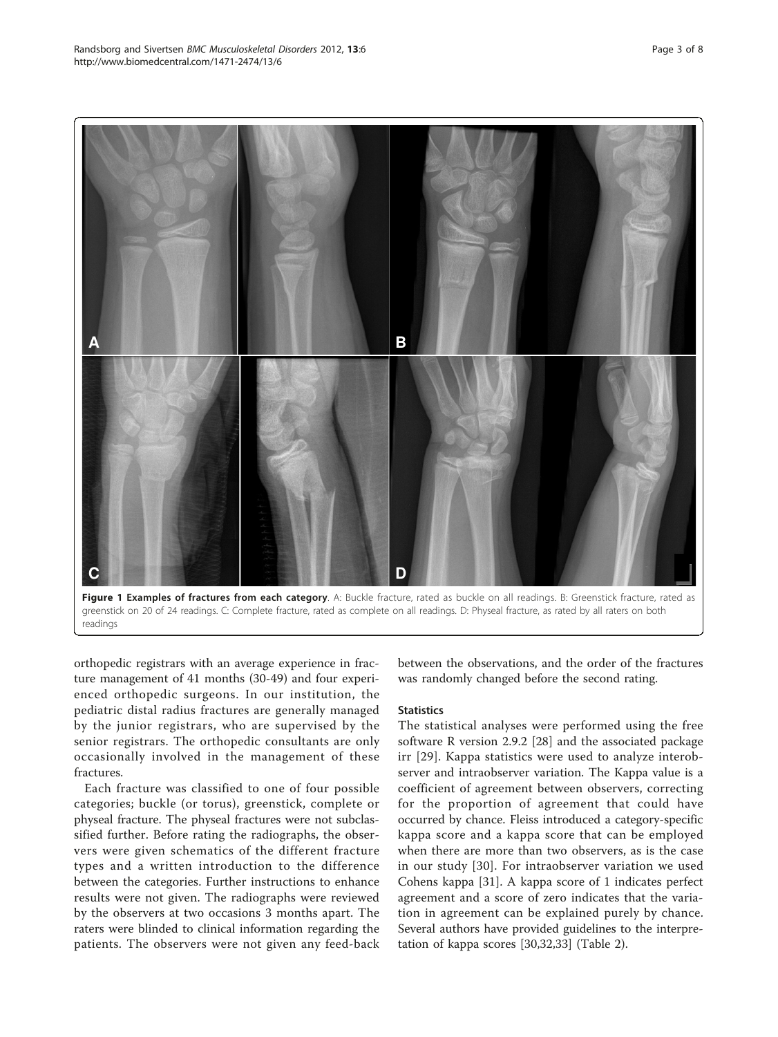<span id="page-2-0"></span>

greenstick on 20 of 24 readings. C: Complete fracture, rated as complete on all readings. D: Physeal fracture, as rated by all raters on both readings

orthopedic registrars with an average experience in fracture management of 41 months (30-49) and four experienced orthopedic surgeons. In our institution, the pediatric distal radius fractures are generally managed by the junior registrars, who are supervised by the senior registrars. The orthopedic consultants are only occasionally involved in the management of these fractures.

Each fracture was classified to one of four possible categories; buckle (or torus), greenstick, complete or physeal fracture. The physeal fractures were not subclassified further. Before rating the radiographs, the observers were given schematics of the different fracture types and a written introduction to the difference between the categories. Further instructions to enhance results were not given. The radiographs were reviewed by the observers at two occasions 3 months apart. The raters were blinded to clinical information regarding the patients. The observers were not given any feed-back

between the observations, and the order of the fractures was randomly changed before the second rating.

# **Statistics**

The statistical analyses were performed using the free software R version 2.9.2 [\[28](#page-7-0)] and the associated package irr [[29](#page-7-0)]. Kappa statistics were used to analyze interobserver and intraobserver variation. The Kappa value is a coefficient of agreement between observers, correcting for the proportion of agreement that could have occurred by chance. Fleiss introduced a category-specific kappa score and a kappa score that can be employed when there are more than two observers, as is the case in our study [[30](#page-7-0)]. For intraobserver variation we used Cohens kappa [[31\]](#page-7-0). A kappa score of 1 indicates perfect agreement and a score of zero indicates that the variation in agreement can be explained purely by chance. Several authors have provided guidelines to the interpretation of kappa scores [[30,32,33](#page-7-0)] (Table [2\)](#page-3-0).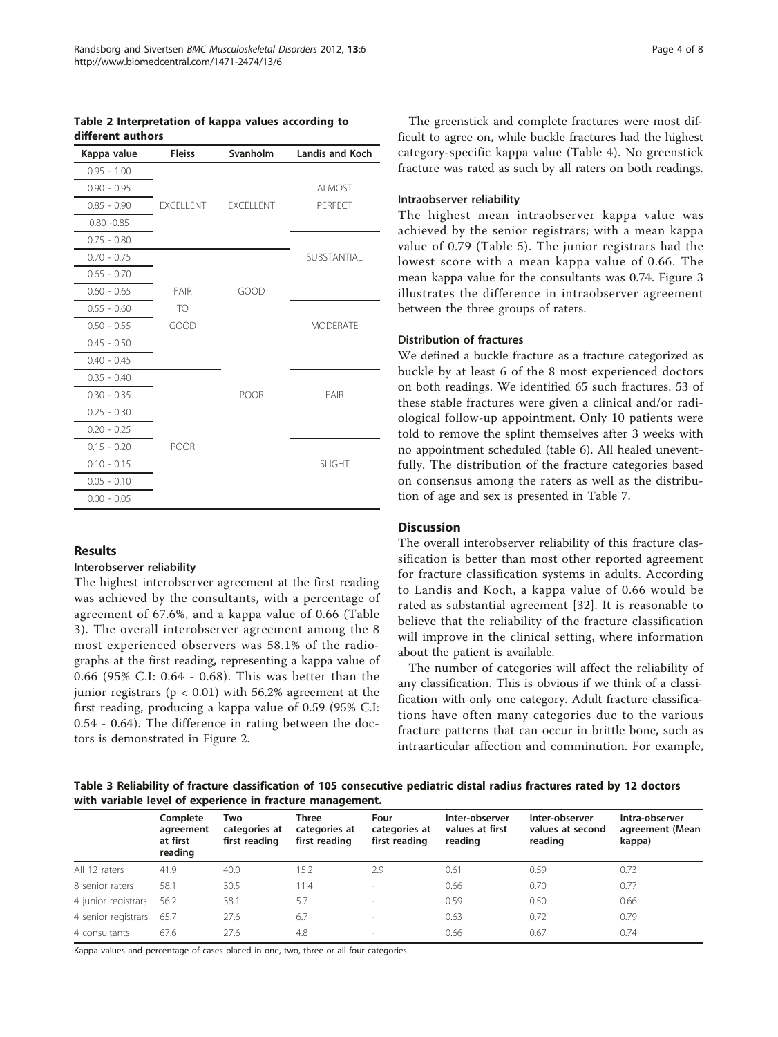<span id="page-3-0"></span>Table 2 Interpretation of kappa values according to different authors

| Kappa value   | <b>Fleiss</b> | Svanholm            | <b>Landis and Koch</b> |
|---------------|---------------|---------------------|------------------------|
| $0.95 - 1.00$ |               |                     |                        |
| $0.90 - 0.95$ |               |                     | <b>ALMOST</b>          |
| $0.85 - 0.90$ |               | EXCELLENT EXCELLENT | PERFECT                |
| $0.80 - 0.85$ |               |                     |                        |
| $0.75 - 0.80$ |               |                     |                        |
| $0.70 - 0.75$ |               |                     | SUBSTANTIAL            |
| $0.65 - 0.70$ |               |                     |                        |
| $0.60 - 0.65$ | <b>FAIR</b>   | GOOD                |                        |
| $0.55 - 0.60$ | <b>TO</b>     |                     |                        |
| $0.50 - 0.55$ | <b>GOOD</b>   |                     | <b>MODERATE</b>        |
| $0.45 - 0.50$ |               |                     |                        |
| $0.40 - 0.45$ |               |                     |                        |
| $0.35 - 0.40$ |               |                     |                        |
| $0.30 - 0.35$ |               | POOR                | FAIR                   |
| $0.25 - 0.30$ |               |                     |                        |
| $0.20 - 0.25$ |               |                     |                        |
| $0.15 - 0.20$ | POOR          |                     |                        |
| $0.10 - 0.15$ |               |                     | <b>SLIGHT</b>          |
| $0.05 - 0.10$ |               |                     |                        |
| $0.00 - 0.05$ |               |                     |                        |

# Results

# Interobserver reliability

The highest interobserver agreement at the first reading was achieved by the consultants, with a percentage of agreement of 67.6%, and a kappa value of 0.66 (Table 3). The overall interobserver agreement among the 8 most experienced observers was 58.1% of the radiographs at the first reading, representing a kappa value of 0.66 (95% C.I: 0.64 - 0.68). This was better than the junior registrars ( $p < 0.01$ ) with 56.2% agreement at the first reading, producing a kappa value of 0.59 (95% C.I: 0.54 - 0.64). The difference in rating between the doctors is demonstrated in Figure [2](#page-4-0).

The greenstick and complete fractures were most difficult to agree on, while buckle fractures had the highest category-specific kappa value (Table [4\)](#page-4-0). No greenstick fracture was rated as such by all raters on both readings.

#### Intraobserver reliability

The highest mean intraobserver kappa value was achieved by the senior registrars; with a mean kappa value of 0.79 (Table [5](#page-4-0)). The junior registrars had the lowest score with a mean kappa value of 0.66. The mean kappa value for the consultants was 0.74. Figure [3](#page-4-0) illustrates the difference in intraobserver agreement between the three groups of raters.

# Distribution of fractures

We defined a buckle fracture as a fracture categorized as buckle by at least 6 of the 8 most experienced doctors on both readings. We identified 65 such fractures. 53 of these stable fractures were given a clinical and/or radiological follow-up appointment. Only 10 patients were told to remove the splint themselves after 3 weeks with no appointment scheduled (table [6\)](#page-5-0). All healed uneventfully. The distribution of the fracture categories based on consensus among the raters as well as the distribution of age and sex is presented in Table [7.](#page-5-0)

# **Discussion**

The overall interobserver reliability of this fracture classification is better than most other reported agreement for fracture classification systems in adults. According to Landis and Koch, a kappa value of 0.66 would be rated as substantial agreement [[32](#page-7-0)]. It is reasonable to believe that the reliability of the fracture classification will improve in the clinical setting, where information about the patient is available.

The number of categories will affect the reliability of any classification. This is obvious if we think of a classification with only one category. Adult fracture classifications have often many categories due to the various fracture patterns that can occur in brittle bone, such as intraarticular affection and comminution. For example,

Table 3 Reliability of fracture classification of 105 consecutive pediatric distal radius fractures rated by 12 doctors with variable level of experience in fracture management.

|                     | Complete<br>agreement<br>at first<br>reading | Two<br>categories at<br>first reading | Three<br>categories at<br>first reading | Four<br>categories at<br>first reading | Inter-observer<br>values at first<br>reading | Inter-observer<br>values at second<br>reading | Intra-observer<br>agreement (Mean<br>kappa) |
|---------------------|----------------------------------------------|---------------------------------------|-----------------------------------------|----------------------------------------|----------------------------------------------|-----------------------------------------------|---------------------------------------------|
| All 12 raters       | 41.9                                         | 40.0                                  | 15.2                                    | 2.9                                    | 0.61                                         | 0.59                                          | 0.73                                        |
| 8 senior raters     | 58.1                                         | 30.5                                  | 1.4                                     | $\sim$                                 | 0.66                                         | 0.70                                          | 0.77                                        |
| 4 junior registrars | 56.2                                         | 38.1                                  | 5.7                                     | $\sim$                                 | 0.59                                         | 0.50                                          | 0.66                                        |
| 4 senior registrars | 65.7                                         | 27.6                                  | 6.7                                     | $\sim$                                 | 0.63                                         | 0.72                                          | 0.79                                        |
| 4 consultants       | 67.6                                         | 27.6                                  | 4.8                                     | $\overline{\phantom{a}}$               | 0.66                                         | 0.67                                          | 0.74                                        |

Kappa values and percentage of cases placed in one, two, three or all four categories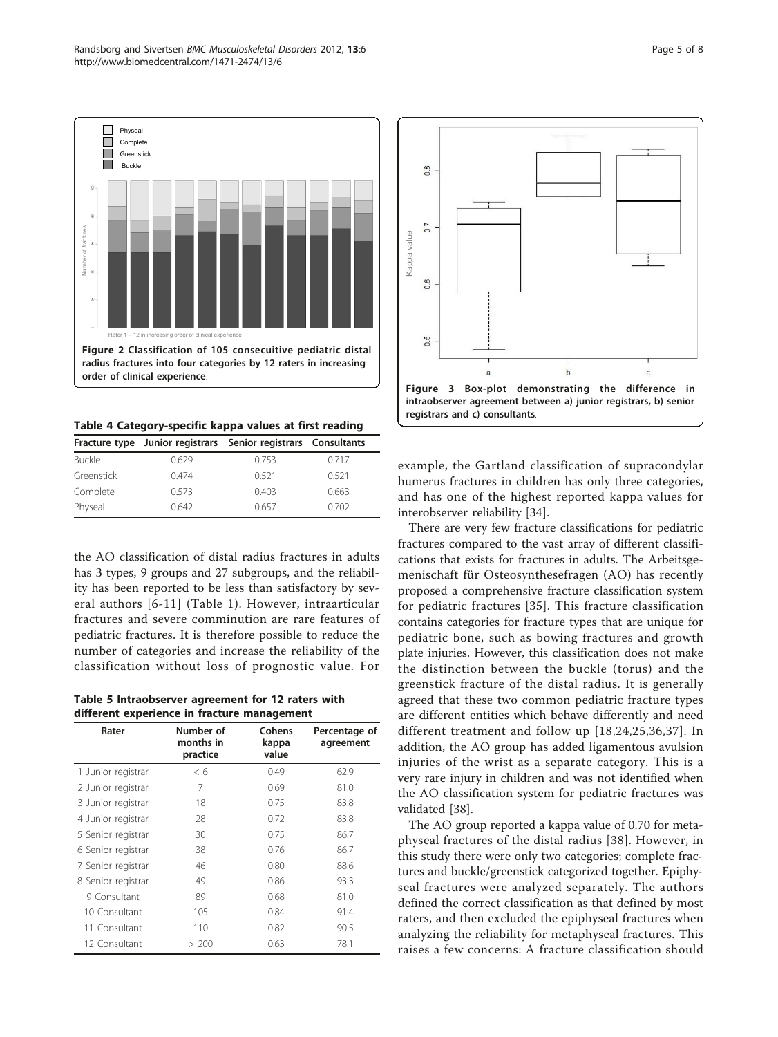<span id="page-4-0"></span>

Table 4 Category-specific kappa values at first reading

|               |       | Fracture type Junior registrars Senior registrars Consultants |       |
|---------------|-------|---------------------------------------------------------------|-------|
| <b>Buckle</b> | 0.629 | 0.753                                                         | 0.717 |
| Greenstick    | 0474  | 0.521                                                         | 0.521 |
| Complete      | 0.573 | 0.403                                                         | 0.663 |
| Physeal       | 0.642 | 0657                                                          | 0.702 |

the AO classification of distal radius fractures in adults has 3 types, 9 groups and 27 subgroups, and the reliability has been reported to be less than satisfactory by several authors [[6](#page-6-0)-[11\]](#page-6-0) (Table [1](#page-1-0)). However, intraarticular fractures and severe comminution are rare features of pediatric fractures. It is therefore possible to reduce the number of categories and increase the reliability of the classification without loss of prognostic value. For

Table 5 Intraobserver agreement for 12 raters with different experience in fracture management

| Rater              | Number of<br>months in<br>practice | Cohens<br>kappa<br>value | Percentage of<br>agreement |
|--------------------|------------------------------------|--------------------------|----------------------------|
| 1 Junior registrar | < 6                                | 0.49                     | 62.9                       |
| 2 Junior registrar | 7                                  | 0.69                     | 81.0                       |
| 3 Junior registrar | 18                                 | 0.75                     | 83.8                       |
| 4 Junior registrar | 28                                 | 0.72                     | 83.8                       |
| 5 Senior registrar | 30                                 | 0.75                     | 86.7                       |
| 6 Senior registrar | 38                                 | 0.76                     | 86.7                       |
| 7 Senior registrar | 46                                 | 0.80                     | 88.6                       |
| 8 Senior registrar | 49                                 | 0.86                     | 93.3                       |
| 9 Consultant       | 89                                 | 0.68                     | 81.0                       |
| 10 Consultant      | 105                                | 0.84                     | 91.4                       |
| 11 Consultant      | 110                                | 0.82                     | 90.5                       |
| 12 Consultant      | >200                               | 0.63                     | 78.1                       |



example, the Gartland classification of supracondylar humerus fractures in children has only three categories, and has one of the highest reported kappa values for interobserver reliability [[34](#page-7-0)].

There are very few fracture classifications for pediatric fractures compared to the vast array of different classifications that exists for fractures in adults. The Arbeitsgemenischaft für Osteosynthesefragen (AO) has recently proposed a comprehensive fracture classification system for pediatric fractures [\[35\]](#page-7-0). This fracture classification contains categories for fracture types that are unique for pediatric bone, such as bowing fractures and growth plate injuries. However, this classification does not make the distinction between the buckle (torus) and the greenstick fracture of the distal radius. It is generally agreed that these two common pediatric fracture types are different entities which behave differently and need different treatment and follow up [[18](#page-6-0),[24,](#page-6-0)[25,36](#page-7-0),[37](#page-7-0)]. In addition, the AO group has added ligamentous avulsion injuries of the wrist as a separate category. This is a very rare injury in children and was not identified when the AO classification system for pediatric fractures was validated [\[38](#page-7-0)].

The AO group reported a kappa value of 0.70 for metaphyseal fractures of the distal radius [[38\]](#page-7-0). However, in this study there were only two categories; complete fractures and buckle/greenstick categorized together. Epiphyseal fractures were analyzed separately. The authors defined the correct classification as that defined by most raters, and then excluded the epiphyseal fractures when analyzing the reliability for metaphyseal fractures. This raises a few concerns: A fracture classification should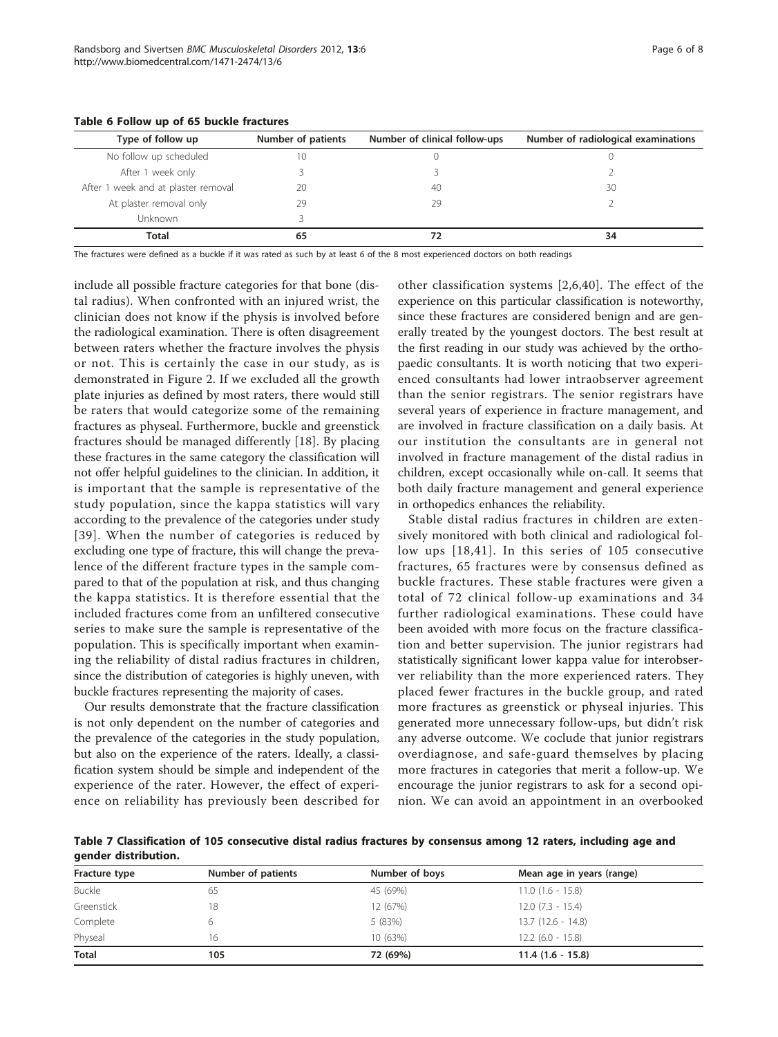| Type of follow up                   | Number of patients | Number of clinical follow-ups | Number of radiological examinations |
|-------------------------------------|--------------------|-------------------------------|-------------------------------------|
| No follow up scheduled              | 10                 |                               |                                     |
| After 1 week only                   |                    |                               |                                     |
| After 1 week and at plaster removal | 20                 | 40                            | 30                                  |
| At plaster removal only             | 29                 | 29                            |                                     |
| <b>Unknown</b>                      |                    |                               |                                     |
| Total                               | 65                 |                               | 34                                  |

<span id="page-5-0"></span>Table 6 Follow up of 65 buckle fractures

The fractures were defined as a buckle if it was rated as such by at least 6 of the 8 most experienced doctors on both readings

include all possible fracture categories for that bone (distal radius). When confronted with an injured wrist, the clinician does not know if the physis is involved before the radiological examination. There is often disagreement between raters whether the fracture involves the physis or not. This is certainly the case in our study, as is demonstrated in Figure [2.](#page-4-0) If we excluded all the growth plate injuries as defined by most raters, there would still be raters that would categorize some of the remaining fractures as physeal. Furthermore, buckle and greenstick fractures should be managed differently [[18\]](#page-6-0). By placing these fractures in the same category the classification will not offer helpful guidelines to the clinician. In addition, it is important that the sample is representative of the study population, since the kappa statistics will vary according to the prevalence of the categories under study [[39](#page-7-0)]. When the number of categories is reduced by excluding one type of fracture, this will change the prevalence of the different fracture types in the sample compared to that of the population at risk, and thus changing the kappa statistics. It is therefore essential that the included fractures come from an unfiltered consecutive series to make sure the sample is representative of the population. This is specifically important when examining the reliability of distal radius fractures in children, since the distribution of categories is highly uneven, with buckle fractures representing the majority of cases.

Our results demonstrate that the fracture classification is not only dependent on the number of categories and the prevalence of the categories in the study population, but also on the experience of the raters. Ideally, a classification system should be simple and independent of the experience of the rater. However, the effect of experience on reliability has previously been described for

other classification systems [[2,6](#page-6-0),[40\]](#page-7-0). The effect of the experience on this particular classification is noteworthy, since these fractures are considered benign and are generally treated by the youngest doctors. The best result at the first reading in our study was achieved by the orthopaedic consultants. It is worth noticing that two experienced consultants had lower intraobserver agreement than the senior registrars. The senior registrars have several years of experience in fracture management, and are involved in fracture classification on a daily basis. At our institution the consultants are in general not involved in fracture management of the distal radius in children, except occasionally while on-call. It seems that both daily fracture management and general experience in orthopedics enhances the reliability.

Stable distal radius fractures in children are extensively monitored with both clinical and radiological follow ups [[18,](#page-6-0)[41\]](#page-7-0). In this series of 105 consecutive fractures, 65 fractures were by consensus defined as buckle fractures. These stable fractures were given a total of 72 clinical follow-up examinations and 34 further radiological examinations. These could have been avoided with more focus on the fracture classification and better supervision. The junior registrars had statistically significant lower kappa value for interobserver reliability than the more experienced raters. They placed fewer fractures in the buckle group, and rated more fractures as greenstick or physeal injuries. This generated more unnecessary follow-ups, but didn't risk any adverse outcome. We coclude that junior registrars overdiagnose, and safe-guard themselves by placing more fractures in categories that merit a follow-up. We encourage the junior registrars to ask for a second opinion. We can avoid an appointment in an overbooked

Table 7 Classification of 105 consecutive distal radius fractures by consensus among 12 raters, including age and gender distribution.

| Number of patients | Number of boys | Mean age in years (range) |  |  |  |
|--------------------|----------------|---------------------------|--|--|--|
| 65                 | 45 (69%)       | $11.0(1.6 - 15.8)$        |  |  |  |
| 18                 | 12 (67%)       | $12.0$ (7.3 - 15.4)       |  |  |  |
|                    | 5 (83%)        | $13.7(12.6 - 14.8)$       |  |  |  |
| 16                 | 10 (63%)       | $12.2$ (6.0 - 15.8)       |  |  |  |
| 105                | 72 (69%)       | $11.4(1.6 - 15.8)$        |  |  |  |
|                    |                |                           |  |  |  |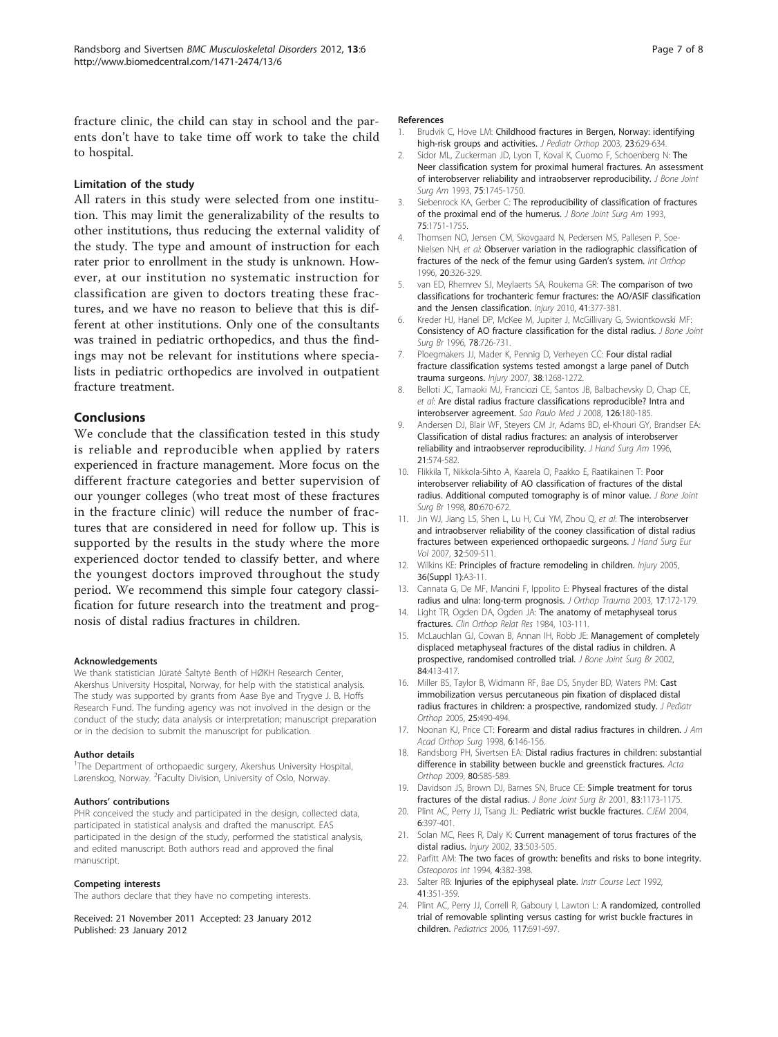<span id="page-6-0"></span>fracture clinic, the child can stay in school and the parents don't have to take time off work to take the child to hospital.

#### Limitation of the study

All raters in this study were selected from one institution. This may limit the generalizability of the results to other institutions, thus reducing the external validity of the study. The type and amount of instruction for each rater prior to enrollment in the study is unknown. However, at our institution no systematic instruction for classification are given to doctors treating these fractures, and we have no reason to believe that this is different at other institutions. Only one of the consultants was trained in pediatric orthopedics, and thus the findings may not be relevant for institutions where specialists in pediatric orthopedics are involved in outpatient fracture treatment.

# Conclusions

We conclude that the classification tested in this study is reliable and reproducible when applied by raters experienced in fracture management. More focus on the different fracture categories and better supervision of our younger colleges (who treat most of these fractures in the fracture clinic) will reduce the number of fractures that are considered in need for follow up. This is supported by the results in the study where the more experienced doctor tended to classify better, and where the youngest doctors improved throughout the study period. We recommend this simple four category classification for future research into the treatment and prognosis of distal radius fractures in children.

#### Acknowledgements

We thank statistician Jūratė Šaltytė Benth of HØKH Research Center, Akershus University Hospital, Norway, for help with the statistical analysis. The study was supported by grants from Aase Bye and Trygve J. B. Hoffs Research Fund. The funding agency was not involved in the design or the conduct of the study; data analysis or interpretation; manuscript preparation or in the decision to submit the manuscript for publication.

#### Author details

<sup>1</sup>The Department of orthopaedic surgery, Akershus University Hospital, Lørenskog, Norway. <sup>2</sup>Faculty Division, University of Oslo, Norway.

#### Authors' contributions

PHR conceived the study and participated in the design, collected data. participated in statistical analysis and drafted the manuscript. EAS participated in the design of the study, performed the statistical analysis, and edited manuscript. Both authors read and approved the final manuscript.

#### Competing interests

The authors declare that they have no competing interests.

Received: 21 November 2011 Accepted: 23 January 2012 Published: 23 January 2012

#### References

- 1. Brudvik C, Hove LM: [Childhood fractures in Bergen, Norway: identifying](http://www.ncbi.nlm.nih.gov/pubmed/12960626?dopt=Abstract) [high-risk groups and activities.](http://www.ncbi.nlm.nih.gov/pubmed/12960626?dopt=Abstract) J Pediatr Orthop 2003, 23:629-634.
- 2. Sidor ML, Zuckerman JD, Lyon T, Koval K, Cuomo F, Schoenberg N: [The](http://www.ncbi.nlm.nih.gov/pubmed/8258543?dopt=Abstract) [Neer classification system for proximal humeral fractures. An assessment](http://www.ncbi.nlm.nih.gov/pubmed/8258543?dopt=Abstract) [of interobserver reliability and intraobserver reproducibility.](http://www.ncbi.nlm.nih.gov/pubmed/8258543?dopt=Abstract) J Bone Joint Surg Am 1993, 75:1745-1750.
- 3. Siebenrock KA, Gerber C: [The reproducibility of classification of fractures](http://www.ncbi.nlm.nih.gov/pubmed/8258544?dopt=Abstract) [of the proximal end of the humerus.](http://www.ncbi.nlm.nih.gov/pubmed/8258544?dopt=Abstract) J Bone Joint Surg Am 1993, 75:1751-1755.
- 4. Thomsen NO, Jensen CM, Skovgaard N, Pedersen MS, Pallesen P, Soe-Nielsen NH, et al: [Observer variation in the radiographic classification of](http://www.ncbi.nlm.nih.gov/pubmed/8930727?dopt=Abstract) [fractures of the neck of the femur using Garden](http://www.ncbi.nlm.nih.gov/pubmed/8930727?dopt=Abstract)'s system. Int Orthop 1996, 20:326-329.
- 5. van ED, Rhemrev SJ, Meylaerts SA, Roukema GR: [The comparison of two](http://www.ncbi.nlm.nih.gov/pubmed/19906370?dopt=Abstract) [classifications for trochanteric femur fractures: the AO/ASIF classification](http://www.ncbi.nlm.nih.gov/pubmed/19906370?dopt=Abstract) [and the Jensen classification.](http://www.ncbi.nlm.nih.gov/pubmed/19906370?dopt=Abstract) Injury 2010, 41:377-381.
- 6. Kreder HJ, Hanel DP, McKee M, Jupiter J, McGillivary G, Swiontkowski MF: [Consistency of AO fracture classification for the distal radius.](http://www.ncbi.nlm.nih.gov/pubmed/8836058?dopt=Abstract) J Bone Joint Surg Br 1996, 78:726-731.
- 7. Ploegmakers JJ, Mader K, Pennig D, Verheyen CC: [Four distal radial](http://www.ncbi.nlm.nih.gov/pubmed/17643439?dopt=Abstract) [fracture classification systems tested amongst a large panel of Dutch](http://www.ncbi.nlm.nih.gov/pubmed/17643439?dopt=Abstract) [trauma surgeons.](http://www.ncbi.nlm.nih.gov/pubmed/17643439?dopt=Abstract) Injury 2007, 38:1268-1272.
- 8. Belloti JC, Tamaoki MJ, Franciozi CE, Santos JB, Balbachevsky D, Chap CE, et al: [Are distal radius fracture classifications reproducible? Intra and](http://www.ncbi.nlm.nih.gov/pubmed/18711658?dopt=Abstract) [interobserver agreement.](http://www.ncbi.nlm.nih.gov/pubmed/18711658?dopt=Abstract) Sao Paulo Med J 2008, 126:180-185.
- 9. Andersen DJ, Blair WF, Steyers CM Jr, Adams BD, el-Khouri GY, Brandser EA: [Classification of distal radius fractures: an analysis of interobserver](http://www.ncbi.nlm.nih.gov/pubmed/8842946?dopt=Abstract) [reliability and intraobserver reproducibility.](http://www.ncbi.nlm.nih.gov/pubmed/8842946?dopt=Abstract) J Hand Surg Am 1996, 21:574-582.
- 10. Flikkila T, Nikkola-Sihto A, Kaarela O, Paakko E, Raatikainen T: [Poor](http://www.ncbi.nlm.nih.gov/pubmed/9699835?dopt=Abstract) [interobserver reliability of AO classification of fractures of the distal](http://www.ncbi.nlm.nih.gov/pubmed/9699835?dopt=Abstract) [radius. Additional computed tomography is of minor value.](http://www.ncbi.nlm.nih.gov/pubmed/9699835?dopt=Abstract) J Bone Joint Surg Br 1998, 80:670-672.
- 11. Jin WJ, Jiang LS, Shen L, Lu H, Cui YM, Zhou Q, et al: [The interobserver](http://www.ncbi.nlm.nih.gov/pubmed/17950210?dopt=Abstract) [and intraobserver reliability of the cooney classification of distal radius](http://www.ncbi.nlm.nih.gov/pubmed/17950210?dopt=Abstract) [fractures between experienced orthopaedic surgeons.](http://www.ncbi.nlm.nih.gov/pubmed/17950210?dopt=Abstract) J Hand Surg Eur Vol 2007, 32:509-511.
- 12. Wilkins KE: [Principles of fracture remodeling in children.](http://www.ncbi.nlm.nih.gov/pubmed/15652934?dopt=Abstract) Injury 2005, 36(Suppl 1):A3-11.
- 13. Cannata G, De MF, Mancini F, Ippolito E: [Physeal fractures of the distal](http://www.ncbi.nlm.nih.gov/pubmed/12621255?dopt=Abstract) [radius and ulna: long-term prognosis.](http://www.ncbi.nlm.nih.gov/pubmed/12621255?dopt=Abstract) J Orthop Trauma 2003, 17:172-179.
- 14. Light TR, Ogden DA, Ogden JA: The anatomy of metaphyseal torus fractures. Clin Orthop Relat Res 1984, 103-111.
- 15. McLauchlan GJ, Cowan B, Annan IH, Robb JE: [Management of completely](http://www.ncbi.nlm.nih.gov/pubmed/12002503?dopt=Abstract) [displaced metaphyseal fractures of the distal radius in children. A](http://www.ncbi.nlm.nih.gov/pubmed/12002503?dopt=Abstract) [prospective, randomised controlled trial.](http://www.ncbi.nlm.nih.gov/pubmed/12002503?dopt=Abstract) J Bone Joint Surg Br 2002, 84:413-417.
- 16. Miller BS, Taylor B, Widmann RF, Bae DS, Snyder BD, Waters PM: [Cast](http://www.ncbi.nlm.nih.gov/pubmed/15958902?dopt=Abstract) [immobilization versus percutaneous pin fixation of displaced distal](http://www.ncbi.nlm.nih.gov/pubmed/15958902?dopt=Abstract) [radius fractures in children: a prospective, randomized study.](http://www.ncbi.nlm.nih.gov/pubmed/15958902?dopt=Abstract) J Pediatr Orthop 2005, 25:490-494.
- 17. Noonan KJ, Price CT: [Forearm and distal radius fractures in children.](http://www.ncbi.nlm.nih.gov/pubmed/9689186?dopt=Abstract) J Am Acad Orthop Surg 1998, 6:146-156.
- 18. Randsborg PH, Sivertsen EA: [Distal radius fractures in children: substantial](http://www.ncbi.nlm.nih.gov/pubmed/19916694?dopt=Abstract) [difference in stability between buckle and greenstick fractures.](http://www.ncbi.nlm.nih.gov/pubmed/19916694?dopt=Abstract) Acta Orthop 2009, 80:585-589.
- 19. Davidson JS, Brown DJ, Barnes SN, Bruce CE: [Simple treatment for torus](http://www.ncbi.nlm.nih.gov/pubmed/11764434?dopt=Abstract) [fractures of the distal radius.](http://www.ncbi.nlm.nih.gov/pubmed/11764434?dopt=Abstract) *J Bone Joint Surg Br* 2001, 83:1173-1175.
- 20. Plint AC, Perry JJ, Tsang JL: [Pediatric wrist buckle fractures.](http://www.ncbi.nlm.nih.gov/pubmed/17378957?dopt=Abstract) CJEM 2004, 6:397-401.
- 21. Solan MC, Rees R, Daly K: [Current management of torus fractures of the](http://www.ncbi.nlm.nih.gov/pubmed/12098547?dopt=Abstract) [distal radius.](http://www.ncbi.nlm.nih.gov/pubmed/12098547?dopt=Abstract) Injury 2002, 33:503-505.
- 22. Parfitt AM: [The two faces of growth: benefits and risks to bone integrity.](http://www.ncbi.nlm.nih.gov/pubmed/7696836?dopt=Abstract) Osteoporos Int 1994, 4:382-398.
- 23. Salter RB: [Injuries of the epiphyseal plate.](http://www.ncbi.nlm.nih.gov/pubmed/1588078?dopt=Abstract) Instr Course Lect 1992, 41:351-359.
- 24. Plint AC, Perry JJ, Correll R, Gaboury I, Lawton L: [A randomized, controlled](http://www.ncbi.nlm.nih.gov/pubmed/16510648?dopt=Abstract) [trial of removable splinting versus casting for wrist buckle fractures in](http://www.ncbi.nlm.nih.gov/pubmed/16510648?dopt=Abstract) [children.](http://www.ncbi.nlm.nih.gov/pubmed/16510648?dopt=Abstract) Pediatrics 2006, 117:691-697.